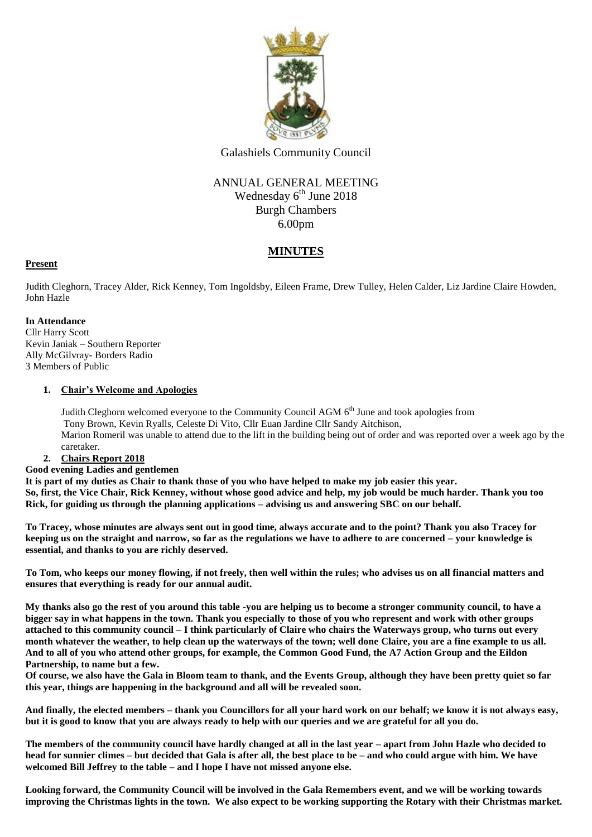

Galashiels Community Council

## ANNUAL GENERAL MEETING Wednesday 6<sup>th</sup> June 2018 Burgh Chambers 6.00pm

## **MINUTES**

#### **Present**

Judith Cleghorn, Tracey Alder, Rick Kenney, Tom Ingoldsby, Eileen Frame, Drew Tulley, Helen Calder, Liz Jardine Claire Howden, John Hazle

#### **In Attendance**

Cllr Harry Scott Kevin Janiak – Southern Reporter Ally McGilvray- Borders Radio 3 Members of Public

#### **1. Chair's Welcome and Apologies**

Judith Cleghorn welcomed everyone to the Community Council AGM  $6<sup>th</sup>$  June and took apologies from Tony Brown, Kevin Ryalls, Celeste Di Vito, Cllr Euan Jardine Cllr Sandy Aitchison, Marion Romeril was unable to attend due to the lift in the building being out of order and was reported over a week ago by the caretaker.

#### **2. Chairs Report 2018**

**Good evening Ladies and gentlemen**

**It is part of my duties as Chair to thank those of you who have helped to make my job easier this year. So, first, the Vice Chair, Rick Kenney, without whose good advice and help, my job would be much harder. Thank you too Rick, for guiding us through the planning applications – advising us and answering SBC on our behalf.**

**To Tracey, whose minutes are always sent out in good time, always accurate and to the point? Thank you also Tracey for keeping us on the straight and narrow, so far as the regulations we have to adhere to are concerned – your knowledge is essential, and thanks to you are richly deserved.**

**To Tom, who keeps our money flowing, if not freely, then well within the rules; who advises us on all financial matters and ensures that everything is ready for our annual audit.**

**My thanks also go the rest of you around this table -you are helping us to become a stronger community council, to have a bigger say in what happens in the town. Thank you especially to those of you who represent and work with other groups attached to this community council – I think particularly of Claire who chairs the Waterways group, who turns out every month whatever the weather, to help clean up the waterways of the town; well done Claire, you are a fine example to us all. And to all of you who attend other groups, for example, the Common Good Fund, the A7 Action Group and the Eildon Partnership, to name but a few.**

**Of course, we also have the Gala in Bloom team to thank, and the Events Group, although they have been pretty quiet so far this year, things are happening in the background and all will be revealed soon.**

**And finally, the elected members – thank you Councillors for all your hard work on our behalf; we know it is not always easy, but it is good to know that you are always ready to help with our queries and we are grateful for all you do.**

**The members of the community council have hardly changed at all in the last year – apart from John Hazle who decided to head for sunnier climes – but decided that Gala is after all, the best place to be – and who could argue with him. We have welcomed Bill Jeffrey to the table – and I hope I have not missed anyone else.**

**Looking forward, the Community Council will be involved in the Gala Remembers event, and we will be working towards improving the Christmas lights in the town. We also expect to be working supporting the Rotary with their Christmas market.**